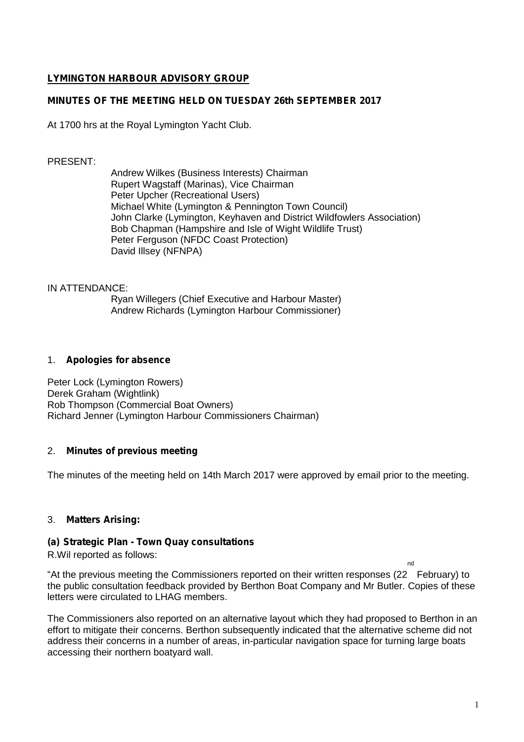# LYMINGTON HARBOUR ADVISORY GROUP

# MINUTES OF THE MEETING HELD ON TUESDAY 26th SEPTEMBER 2017

# At 1700 hrs at the Royal Lymington Yacht Club.

### PRESENT:

Andrew Wilkes (Business Interests) Chairman Rupert Wagstaff (Marinas), Vice Chairman Peter Upcher (Recreational Users) Michael White (Lymington & Pennington Town Council) John Clarke (Lymington, Keyhaven and District Wildfowlers Association) Bob Chapman (Hampshire and Isle of Wight Wildlife Trust) Peter Ferguson (NFDC Coast Protection) David Illsey (NFNPA)

### IN ATTENDANCE:

Ryan Willegers (Chief Executive and Harbour Master) Andrew Richards (Lymington Harbour Commissioner)

### 1. Apologies for absence

Peter Lock (Lymington Rowers) Derek Graham (Wightlink) Rob Thompson (Commercial Boat Owners) Richard Jenner (Lymington Harbour Commissioners Chairman)

# 2. Minutes of previous meeting

The minutes of the meeting held on 14th March 2017 were approved by email prior to the meeting.

3. Matters Arising:

# (a) Strategic Plan - Town Quay consultations

#### R.Wil reported as follows:

"At the previous meeting the Commissioners reported on their written responses (22 February) to the public consultation feedback provided by Berthon Boat Company and Mr Butler. Copies of these letters were circulated to LHAG members.

The Commissioners also reported on an alternative layout which they had proposed to Berthon in an effort to mitigate their concerns. Berthon subsequently indicated that the alternative scheme did not address their concerns in a number of areas, in-particular navigation space for turning large boats accessing their northern boatyard wall.

nd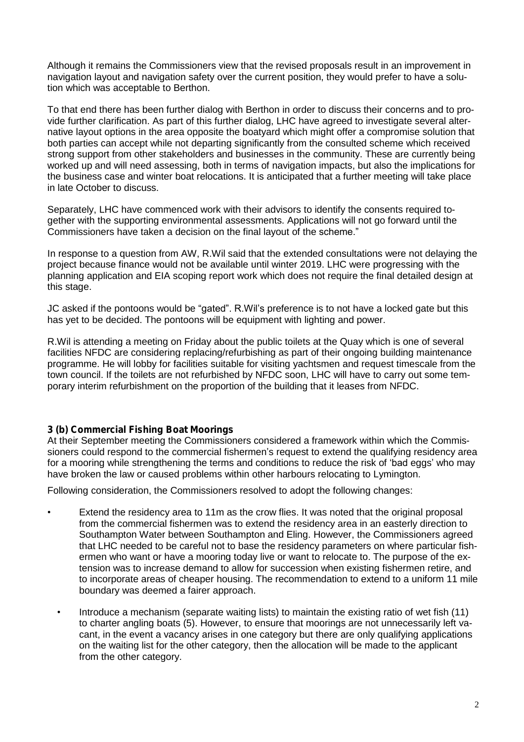Although it remains the Commissioners view that the revised proposals result in an improvement in navigation layout and navigation safety over the current position, they would prefer to have a solution which was acceptable to Berthon.

To that end there has been further dialog with Berthon in order to discuss their concerns and to provide further clarification. As part of this further dialog, LHC have agreed to investigate several alternative layout options in the area opposite the boatyard which might offer a compromise solution that both parties can accept while not departing significantly from the consulted scheme which received strong support from other stakeholders and businesses in the community. These are currently being worked up and will need assessing, both in terms of navigation impacts, but also the implications for the business case and winter boat relocations. It is anticipated that a further meeting will take place in late October to discuss.

Separately, LHC have commenced work with their advisors to identify the consents required together with the supporting environmental assessments. Applications will not go forward until the Commissioners have taken a decision on the final layout of the scheme."

In response to a question from AW, R.Wil said that the extended consultations were not delaying the project because finance would not be available until winter 2019. LHC were progressing with the planning application and EIA scoping report work which does not require the final detailed design at this stage.

JC asked if the pontoons would be "gated". R.Wil's preference is to not have a locked gate but this has yet to be decided. The pontoons will be equipment with lighting and power.

R.Wil is attending a meeting on Friday about the public toilets at the Quay which is one of several facilities NFDC are considering replacing/refurbishing as part of their ongoing building maintenance programme. He will lobby for facilities suitable for visiting yachtsmen and request timescale from the town council. If the toilets are not refurbished by NFDC soon, LHC will have to carry out some temporary interim refurbishment on the proportion of the building that it leases from NFDC.

# 3 (b) Commercial Fishing Boat Moorings

At their September meeting the Commissioners considered a framework within which the Commissioners could respond to the commercial fishermen's request to extend the qualifying residency area for a mooring while strengthening the terms and conditions to reduce the risk of 'bad eggs' who may have broken the law or caused problems within other harbours relocating to Lymington.

Following consideration, the Commissioners resolved to adopt the following changes:

- Extend the residency area to 11m as the crow flies. It was noted that the original proposal from the commercial fishermen was to extend the residency area in an easterly direction to Southampton Water between Southampton and Eling. However, the Commissioners agreed that LHC needed to be careful not to base the residency parameters on where particular fishermen who want or have a mooring today live or want to relocate to. The purpose of the extension was to increase demand to allow for succession when existing fishermen retire, and to incorporate areas of cheaper housing. The recommendation to extend to a uniform 11 mile boundary was deemed a fairer approach.
	- Introduce a mechanism (separate waiting lists) to maintain the existing ratio of wet fish (11) to charter angling boats (5). However, to ensure that moorings are not unnecessarily left vacant, in the event a vacancy arises in one category but there are only qualifying applications on the waiting list for the other category, then the allocation will be made to the applicant from the other category.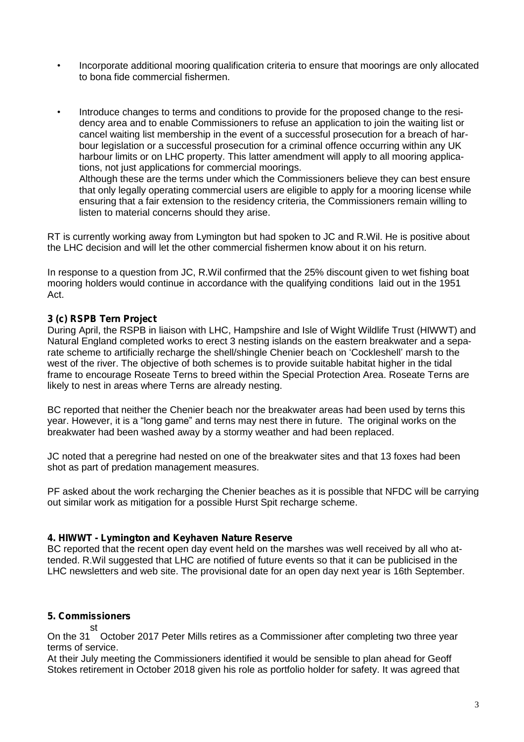- Incorporate additional mooring qualification criteria to ensure that moorings are only allocated to bona fide commercial fishermen.
- Introduce changes to terms and conditions to provide for the proposed change to the residency area and to enable Commissioners to refuse an application to join the waiting list or cancel waiting list membership in the event of a successful prosecution for a breach of harbour legislation or a successful prosecution for a criminal offence occurring within any UK harbour limits or on LHC property. This latter amendment will apply to all mooring applications, not just applications for commercial moorings. Although these are the terms under which the Commissioners believe they can best ensure that only legally operating commercial users are eligible to apply for a mooring license while ensuring that a fair extension to the residency criteria, the Commissioners remain willing to listen to material concerns should they arise.

RT is currently working away from Lymington but had spoken to JC and R.Wil. He is positive about the LHC decision and will let the other commercial fishermen know about it on his return.

In response to a question from JC, R.Wil confirmed that the 25% discount given to wet fishing boat mooring holders would continue in accordance with the qualifying conditions laid out in the 1951 Act.

# 3 (c) RSPB Tern Project

During April, the RSPB in liaison with LHC, Hampshire and Isle of Wight Wildlife Trust (HIWWT) and Natural England completed works to erect 3 nesting islands on the eastern breakwater and a separate scheme to artificially recharge the shell/shingle Chenier beach on 'Cockleshell' marsh to the west of the river. The objective of both schemes is to provide suitable habitat higher in the tidal frame to encourage Roseate Terns to breed within the Special Protection Area. Roseate Terns are likely to nest in areas where Terns are already nesting.

BC reported that neither the Chenier beach nor the breakwater areas had been used by terns this year. However, it is a "long game" and terns may nest there in future. The original works on the breakwater had been washed away by a stormy weather and had been replaced.

JC noted that a peregrine had nested on one of the breakwater sites and that 13 foxes had been shot as part of predation management measures.

PF asked about the work recharging the Chenier beaches as it is possible that NFDC will be carrying out similar work as mitigation for a possible Hurst Spit recharge scheme.

#### 4. HIWWT - Lymington and Keyhaven Nature Reserve

BC reported that the recent open day event held on the marshes was well received by all who attended. R.Wil suggested that LHC are notified of future events so that it can be publicised in the LHC newsletters and web site. The provisional date for an open day next year is 16th September.

# 5. Commissioners

On the 31 st October 2017 Peter Mills retires as a Commissioner after completing two three year terms of service.

At their July meeting the Commissioners identified it would be sensible to plan ahead for Geoff Stokes retirement in October 2018 given his role as portfolio holder for safety. It was agreed that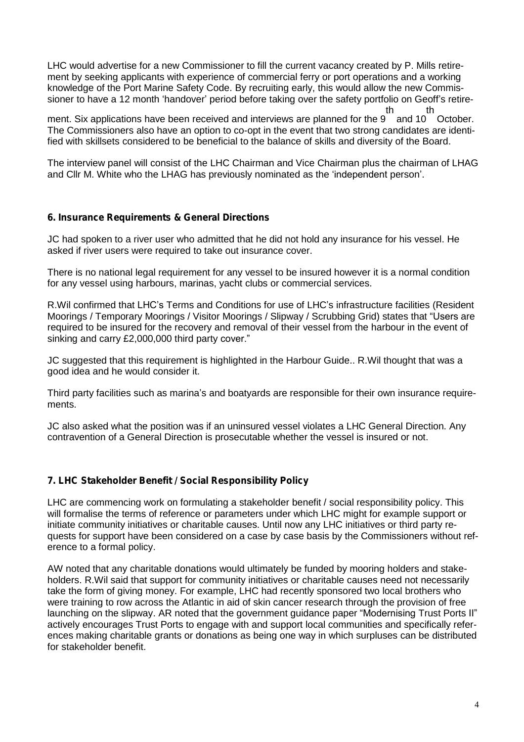LHC would advertise for a new Commissioner to fill the current vacancy created by P. Mills retirement by seeking applicants with experience of commercial ferry or port operations and a working knowledge of the Port Marine Safety Code. By recruiting early, this would allow the new Commissioner to have a 12 month 'handover' period before taking over the safety portfolio on Geoff's retire-

ment. Six applications have been received and interviews are planned for the 9 and 10 October. th th The Commissioners also have an option to co-opt in the event that two strong candidates are identified with skillsets considered to be beneficial to the balance of skills and diversity of the Board.

The interview panel will consist of the LHC Chairman and Vice Chairman plus the chairman of LHAG and Cllr M. White who the LHAG has previously nominated as the 'independent person'.

# 6. Insurance Requirements & General Directions

JC had spoken to a river user who admitted that he did not hold any insurance for his vessel. He asked if river users were required to take out insurance cover.

There is no national legal requirement for any vessel to be insured however it is a normal condition for any vessel using harbours, marinas, yacht clubs or commercial services.

R.Wil confirmed that LHC's Terms and Conditions for use of LHC's infrastructure facilities (Resident Moorings / Temporary Moorings / Visitor Moorings / Slipway / Scrubbing Grid) states that "Users are required to be insured for the recovery and removal of their vessel from the harbour in the event of sinking and carry £2,000,000 third party cover."

JC suggested that this requirement is highlighted in the Harbour Guide.. R.Wil thought that was a good idea and he would consider it.

Third party facilities such as marina's and boatyards are responsible for their own insurance requirements.

JC also asked what the position was if an uninsured vessel violates a LHC General Direction. Any contravention of a General Direction is prosecutable whether the vessel is insured or not.

# 7. LHC Stakeholder Benefit / Social Responsibility Policy

LHC are commencing work on formulating a stakeholder benefit / social responsibility policy. This will formalise the terms of reference or parameters under which LHC might for example support or initiate community initiatives or charitable causes. Until now any LHC initiatives or third party requests for support have been considered on a case by case basis by the Commissioners without reference to a formal policy.

AW noted that any charitable donations would ultimately be funded by mooring holders and stakeholders. R.Wil said that support for community initiatives or charitable causes need not necessarily take the form of giving money. For example, LHC had recently sponsored two local brothers who were training to row across the Atlantic in aid of skin cancer research through the provision of free launching on the slipway. AR noted that the government guidance paper "Modernising Trust Ports II" actively encourages Trust Ports to engage with and support local communities and specifically references making charitable grants or donations as being one way in which surpluses can be distributed for stakeholder benefit.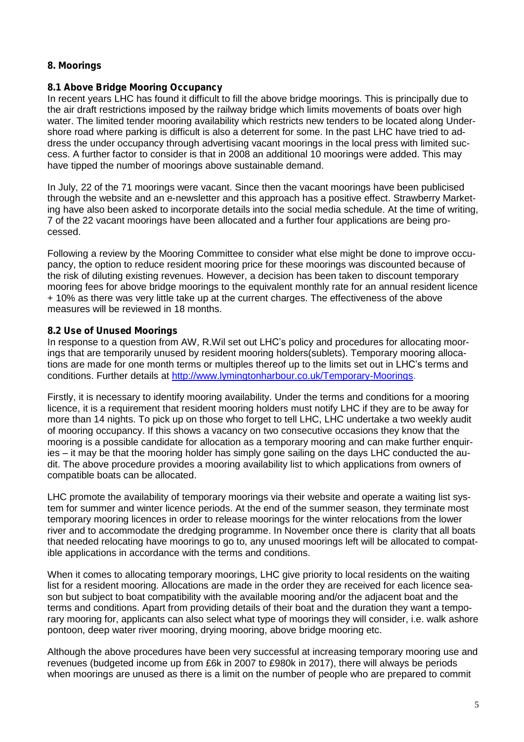# 8. Moorings

### 8.1 Above Bridge Mooring Occupancy

In recent years LHC has found it difficult to fill the above bridge moorings. This is principally due to the air draft restrictions imposed by the railway bridge which limits movements of boats over high water. The limited tender mooring availability which restricts new tenders to be located along Undershore road where parking is difficult is also a deterrent for some. In the past LHC have tried to address the under occupancy through advertising vacant moorings in the local press with limited success. A further factor to consider is that in 2008 an additional 10 moorings were added. This may have tipped the number of moorings above sustainable demand.

In July, 22 of the 71 moorings were vacant. Since then the vacant moorings have been publicised through the website and an e-newsletter and this approach has a positive effect. Strawberry Marketing have also been asked to incorporate details into the social media schedule. At the time of writing, 7 of the 22 vacant moorings have been allocated and a further four applications are being processed.

Following a review by the Mooring Committee to consider what else might be done to improve occupancy, the option to reduce resident mooring price for these moorings was discounted because of the risk of diluting existing revenues. However, a decision has been taken to discount temporary mooring fees for above bridge moorings to the equivalent monthly rate for an annual resident licence + 10% as there was very little take up at the current charges. The effectiveness of the above measures will be reviewed in 18 months.

### 8.2 Use of Unused Moorings

In response to a question from AW, R.Wil set out LHC's policy and procedures for allocating moorings that are temporarily unused by resident mooring holders(sublets). Temporary mooring allocations are made for one month terms or multiples thereof up to the limits set out in LHC's terms and conditions. Further details at [http://www.lymingtonharbour.co.uk/Temporary-Moorings.](http://www.lymingtonharbour.co.uk/Temporary-Moorings)

Firstly, it is necessary to identify mooring availability. Under the terms and conditions for a mooring licence, it is a requirement that resident mooring holders must notify LHC if they are to be away for more than 14 nights. To pick up on those who forget to tell LHC, LHC undertake a two weekly audit of mooring occupancy. If this shows a vacancy on two consecutive occasions they know that the mooring is a possible candidate for allocation as a temporary mooring and can make further enquiries – it may be that the mooring holder has simply gone sailing on the days LHC conducted the audit. The above procedure provides a mooring availability list to which applications from owners of compatible boats can be allocated.

LHC promote the availability of temporary moorings via their website and operate a waiting list system for summer and winter licence periods. At the end of the summer season, they terminate most temporary mooring licences in order to release moorings for the winter relocations from the lower river and to accommodate the dredging programme. In November once there is clarity that all boats that needed relocating have moorings to go to, any unused moorings left will be allocated to compatible applications in accordance with the terms and conditions.

When it comes to allocating temporary moorings, LHC give priority to local residents on the waiting list for a resident mooring. Allocations are made in the order they are received for each licence season but subject to boat compatibility with the available mooring and/or the adjacent boat and the terms and conditions. Apart from providing details of their boat and the duration they want a temporary mooring for, applicants can also select what type of moorings they will consider, i.e. walk ashore pontoon, deep water river mooring, drying mooring, above bridge mooring etc.

Although the above procedures have been very successful at increasing temporary mooring use and revenues (budgeted income up from £6k in 2007 to £980k in 2017), there will always be periods when moorings are unused as there is a limit on the number of people who are prepared to commit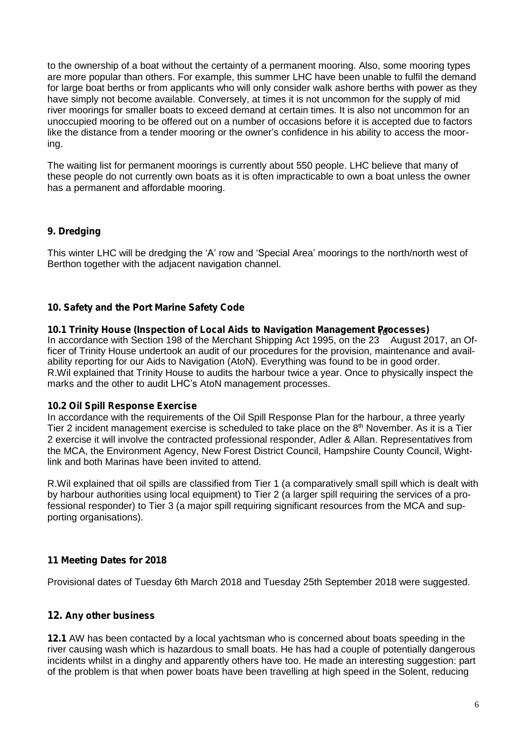to the ownership of a boat without the certainty of a permanent mooring. Also, some mooring types are more popular than others. For example, this summer LHC have been unable to fulfil the demand for large boat berths or from applicants who will only consider walk ashore berths with power as they have simply not become available. Conversely, at times it is not uncommon for the supply of mid river moorings for smaller boats to exceed demand at certain times. It is also not uncommon for an unoccupied mooring to be offered out on a number of occasions before it is accepted due to factors like the distance from a tender mooring or the owner's confidence in his ability to access the mooring.

The waiting list for permanent moorings is currently about 550 people. LHC believe that many of these people do not currently own boats as it is often impracticable to own a boat unless the owner has a permanent and affordable mooring.

# 9. Dredging

This winter LHC will be dredging the 'A' row and 'Special Area' moorings to the north/north west of Berthon together with the adjacent navigation channel.

# 10. Safety and the Port Marine Safety Code

10.1 Trinity House (Inspection of Local Aids to Navigation Management Paocesses) In accordance with Section 198 of the Merchant Shipping Act 1995, on the 23 August 2017, an Officer of Trinity House undertook an audit of our procedures for the provision, maintenance and availability reporting for our Aids to Navigation (AtoN). Everything was found to be in good order. R.Wil explained that Trinity House to audits the harbour twice a year. Once to physically inspect the marks and the other to audit LHC's AtoN management processes.

# 10.2 Oil Spill Response Exercise

In accordance with the requirements of the Oil Spill Response Plan for the harbour, a three yearly Tier 2 incident management exercise is scheduled to take place on the 8<sup>th</sup> November. As it is a Tier 2 exercise it will involve the contracted professional responder, Adler & Allan. Representatives from the MCA, the Environment Agency, New Forest District Council, Hampshire County Council, Wightlink and both Marinas have been invited to attend.

R.Wil explained that oil spills are classified from Tier 1 (a comparatively small spill which is dealt with by harbour authorities using local equipment) to Tier 2 (a larger spill requiring the services of a professional responder) to Tier 3 (a major spill requiring significant resources from the MCA and supporting organisations).

# 11 Meeting Dates for 2018

Provisional dates of Tuesday 6th March 2018 and Tuesday 25th September 2018 were suggested.

# 12. Any other business

12.1 AW has been contacted by a local yachtsman who is concerned about boats speeding in the river causing wash which is hazardous to small boats. He has had a couple of potentially dangerous incidents whilst in a dinghy and apparently others have too. He made an interesting suggestion: part of the problem is that when power boats have been travelling at high speed in the Solent, reducing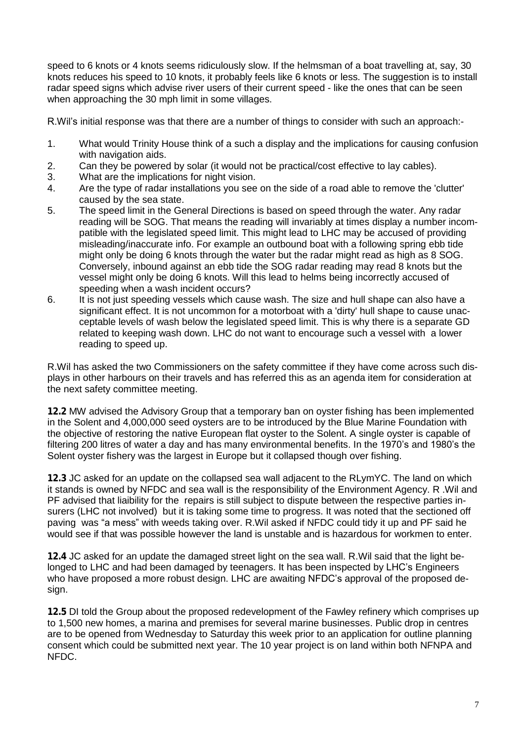speed to 6 knots or 4 knots seems ridiculously slow. If the helmsman of a boat travelling at, say, 30 knots reduces his speed to 10 knots, it probably feels like 6 knots or less. The suggestion is to install radar speed signs which advise river users of their current speed - like the ones that can be seen when approaching the 30 mph limit in some villages.

R.Wil's initial response was that there are a number of things to consider with such an approach:-

- 1. What would Trinity House think of a such a display and the implications for causing confusion with navigation aids.
- 2. Can they be powered by solar (it would not be practical/cost effective to lay cables).<br>3. What are the implications for night vision.
- What are the implications for night vision.
- 4. Are the type of radar installations you see on the side of a road able to remove the 'clutter' caused by the sea state.
- 5. The speed limit in the General Directions is based on speed through the water. Any radar reading will be SOG. That means the reading will invariably at times display a number incompatible with the legislated speed limit. This might lead to LHC may be accused of providing misleading/inaccurate info. For example an outbound boat with a following spring ebb tide might only be doing 6 knots through the water but the radar might read as high as 8 SOG. Conversely, inbound against an ebb tide the SOG radar reading may read 8 knots but the vessel might only be doing 6 knots. Will this lead to helms being incorrectly accused of speeding when a wash incident occurs?
- 6. It is not just speeding vessels which cause wash. The size and hull shape can also have a significant effect. It is not uncommon for a motorboat with a 'dirty' hull shape to cause unacceptable levels of wash below the legislated speed limit. This is why there is a separate GD related to keeping wash down. LHC do not want to encourage such a vessel with a lower reading to speed up.

R.Wil has asked the two Commissioners on the safety committee if they have come across such displays in other harbours on their travels and has referred this as an agenda item for consideration at the next safety committee meeting.

12.2 MW advised the Advisory Group that a temporary ban on oyster fishing has been implemented in the Solent and 4,000,000 seed oysters are to be introduced by the Blue Marine Foundation with the objective of restoring the native European flat oyster to the Solent. A single oyster is capable of filtering 200 litres of water a day and has many environmental benefits. In the 1970's and 1980's the Solent oyster fishery was the largest in Europe but it collapsed though over fishing.

12.3 JC asked for an update on the collapsed sea wall adjacent to the RLymYC. The land on which it stands is owned by NFDC and sea wall is the responsibility of the Environment Agency. R .Wil and PF advised that liaibility for the repairs is still subject to dispute between the respective parties insurers (LHC not involved) but it is taking some time to progress. It was noted that the sectioned off paving was "a mess" with weeds taking over. R.Wil asked if NFDC could tidy it up and PF said he would see if that was possible however the land is unstable and is hazardous for workmen to enter.

12.4 JC asked for an update the damaged street light on the sea wall. R.Wil said that the light belonged to LHC and had been damaged by teenagers. It has been inspected by LHC's Engineers who have proposed a more robust design. LHC are awaiting NFDC's approval of the proposed design.

12.5 DI told the Group about the proposed redevelopment of the Fawley refinery which comprises up to 1,500 new homes, a marina and premises for several marine businesses. Public drop in centres are to be opened from Wednesday to Saturday this week prior to an application for outline planning consent which could be submitted next year. The 10 year project is on land within both NFNPA and NFDC.